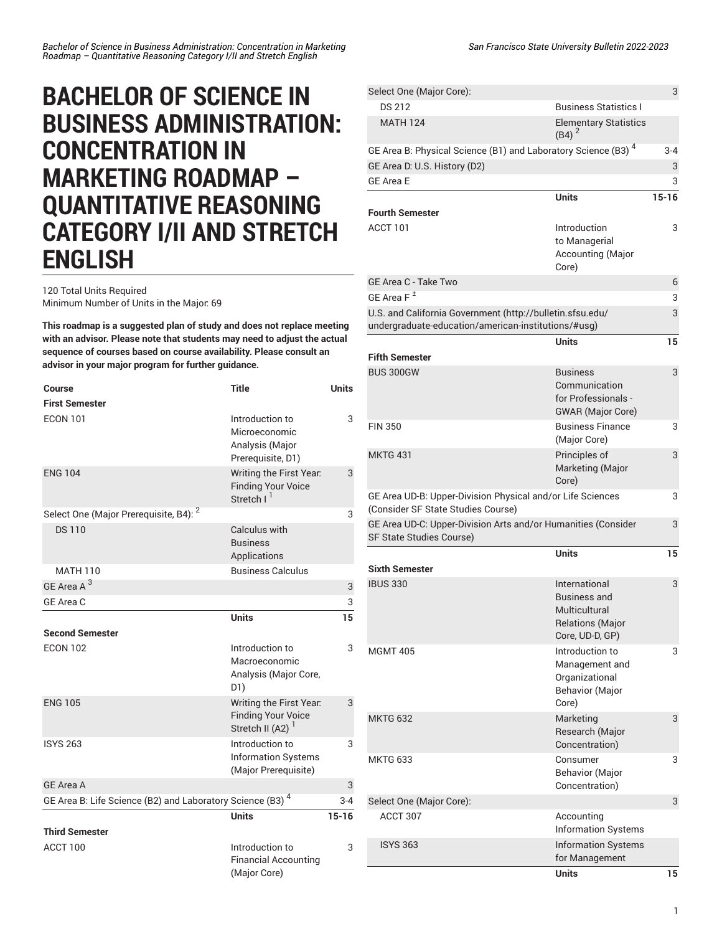## **BACHELOR OF SCIENCE IN BUSINESS ADMINISTRATION: CONCENTRATION IN MARKETING ROADMAP – QUANTITATIVE REASONING CATEGORY I/II AND STRETCH ENGLISH**

120 Total Units Required Minimum Number of Units in the Major: 69

**This roadmap is a suggested plan of study and does not replace meeting with an advisor. Please note that students may need to adjust the actual sequence of courses based on course availability. Please consult an advisor in your major program for further guidance.**

| Course                                                                | <b>Title</b>                                                                         | <b>Units</b> |
|-----------------------------------------------------------------------|--------------------------------------------------------------------------------------|--------------|
| <b>First Semester</b>                                                 |                                                                                      |              |
| <b>ECON 101</b>                                                       | Introduction to<br>Microeconomic<br>Analysis (Major<br>Prerequisite, D1)             | 3            |
| <b>ENG 104</b>                                                        | Writing the First Year.<br><b>Finding Your Voice</b><br>Stretch I <sup>1</sup>       | 3            |
| Select One (Major Prerequisite, B4): <sup>2</sup>                     |                                                                                      | 3            |
| <b>DS110</b>                                                          | Calculus with<br><b>Business</b><br>Applications                                     |              |
| MATH 110                                                              | <b>Business Calculus</b>                                                             |              |
| GF Area A <sup>3</sup>                                                |                                                                                      | 3            |
| GE Area C                                                             |                                                                                      | 3            |
|                                                                       | <b>Units</b>                                                                         | 15           |
| <b>Second Semester</b>                                                |                                                                                      |              |
| <b>ECON 102</b>                                                       | Introduction to<br>Macroeconomic<br>Analysis (Major Core,<br>D1)                     | 3            |
| <b>ENG 105</b>                                                        | Writing the First Year.<br><b>Finding Your Voice</b><br>Stretch II (A2) <sup>1</sup> | 3            |
| <b>ISYS 263</b>                                                       | Introduction to<br><b>Information Systems</b><br>(Major Prerequisite)                | 3            |
| <b>GE Area A</b>                                                      |                                                                                      | 3            |
| GE Area B: Life Science (B2) and Laboratory Science (B3) <sup>4</sup> |                                                                                      | $3 - 4$      |
|                                                                       | <b>Units</b>                                                                         | $15 - 16$    |
| <b>Third Semester</b>                                                 |                                                                                      |              |
| ACCT 100                                                              | Introduction to<br><b>Financial Accounting</b><br>(Major Core)                       | 3            |

|                                                                                                  | Units                                                                                        | 15             |
|--------------------------------------------------------------------------------------------------|----------------------------------------------------------------------------------------------|----------------|
| <b>ISYS 363</b>                                                                                  | <b>Information Systems</b><br>for Management                                                 |                |
|                                                                                                  | Accounting<br><b>Information Systems</b>                                                     |                |
| ACCT 307                                                                                         |                                                                                              |                |
| Select One (Major Core):                                                                         | Concentration)                                                                               | 3              |
| MKTG 633                                                                                         | Consumer<br><b>Behavior (Major</b>                                                           | 3              |
| <b>MKTG 632</b>                                                                                  | Marketing<br>Research (Major<br>Concentration)                                               | 3              |
| <b>MGMT 405</b>                                                                                  | Introduction to<br>Management and<br>Organizational<br><b>Behavior (Major</b><br>Core)       | 3              |
| <b>IBUS 330</b>                                                                                  | International<br>Business and<br>Multicultural<br><b>Relations (Major</b><br>Core, UD-D, GP) | 3              |
| <b>Sixth Semester</b>                                                                            | Units                                                                                        | 15             |
| GE Area UD-C: Upper-Division Arts and/or Humanities (Consider<br><b>SF State Studies Course)</b> |                                                                                              | 3              |
| GE Area UD-B: Upper-Division Physical and/or Life Sciences<br>(Consider SF State Studies Course) |                                                                                              | 3              |
| <b>MKTG 431</b>                                                                                  | Principles of<br>Marketing (Major<br>Core)                                                   | 3              |
| <b>FIN 350</b>                                                                                   | <b>Business Finance</b><br>(Major Core)                                                      | 3              |
|                                                                                                  | Communication<br>for Professionals -<br><b>GWAR</b> (Major Core)                             |                |
| <b>Fifth Semester</b><br><b>BUS 300GW</b>                                                        | <b>Business</b>                                                                              | 3              |
|                                                                                                  | <b>Units</b>                                                                                 | 15             |
| undergraduate-education/american-institutions/#usg)                                              |                                                                                              |                |
| U.S. and California Government (http://bulletin.sfsu.edu/                                        |                                                                                              | 3              |
| GE Area C - Take Two<br>GE Area $F^{\pm}$                                                        |                                                                                              | 6<br>3         |
| ACCT 101                                                                                         | Introduction<br>to Managerial<br>Accounting (Major<br>Core)                                  | 3              |
| <b>Fourth Semester</b>                                                                           |                                                                                              |                |
| <b>GE Area E</b>                                                                                 | <b>Units</b>                                                                                 | 3<br>$15 - 16$ |
| GE Area D: U.S. History (D2)                                                                     |                                                                                              | 3              |
| GE Area B: Physical Science (B1) and Laboratory Science (B3) $^4$                                |                                                                                              | $3 - 4$        |
| <b>MATH 124</b>                                                                                  | <b>Elementary Statistics</b><br>$(B4)^2$                                                     |                |
| <b>DS 212</b>                                                                                    | <b>Business Statistics L</b>                                                                 |                |
| Select One (Major Core):                                                                         |                                                                                              | 3              |